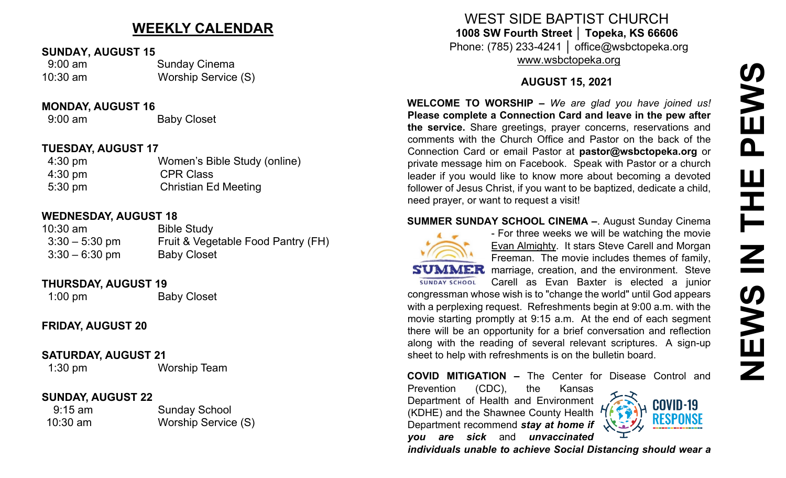# **WEEKLY CALENDAR**

#### **SUNDAY, AUGUST 15**

| $9:00$ am  | <b>Sunday Cinema</b> |  |  |
|------------|----------------------|--|--|
| $10:30$ am | Worship Service (S)  |  |  |

#### **MONDAY, AUGUST 16**

9:00 am Baby Closet

#### **TUESDAY, AUGUST 17**

| $4:30 \text{ pm}$ | Women's Bible Study (online) |
|-------------------|------------------------------|
| $4:30 \text{ pm}$ | <b>CPR Class</b>             |
| $5:30 \text{ pm}$ | <b>Christian Ed Meeting</b>  |

## **WEDNESDAY, AUGUST 18**

| $10:30$ am       | <b>Bible Study</b>                 |
|------------------|------------------------------------|
| $3:30 - 5:30$ pm | Fruit & Vegetable Food Pantry (FH) |
| $3:30 - 6:30$ pm | <b>Baby Closet</b>                 |

# **THURSDAY, AUGUST 19**

1:00 pm Baby Closet

# **FRIDAY, AUGUST 20**

## **SATURDAY, AUGUST 21**

1:30 pm Worship Team

## **SUNDAY, AUGUST 22**

| $9:15$ am  | <b>Sunday School</b> |  |  |
|------------|----------------------|--|--|
| $10:30$ am | Worship Service (S)  |  |  |

WEST SIDE BAPTIST CHURCH **1008 SW Fourth Street │ Topeka, KS 66606** Phone: (785) 233-4241 │ office@wsbctopeka.org [www.wsbctopeka.org](http://www.wsbctopeka.org/)

# **AUGUST 15, 2021**

**WELCOME TO WORSHIP –** *We are glad you have joined us!* **Please complete a Connection Card and leave in the pew after the service.** Share greetings, prayer concerns, reservations and comments with the Church Office and Pastor on the back of the Connection Card or email Pastor at **pastor@wsbctopeka.org** or private message him on Facebook. [S](https://www.facebook.com/ivangreuter.)peak with Pastor or a church leader if you would like to know more about becoming a devoted follower of Jesus Christ, if you want to be baptized, dedicate a child, need prayer, or want to request a visit!

#### **SUMMER SUNDAY SCHOOL CINEMA –**. August Sunday Cinema



- For three weeks we will be watching the movie Evan Almighty. It stars Steve Carell and Morgan Freeman. The movie includes themes of family, **SUMMER** marriage, creation, and the environment. Steve Carell as Evan Baxter is elected a junior congressman whose wish is to "change the world" until God appears

with a perplexing request. Refreshments begin at 9:00 a.m. with the movie starting promptly at 9:15 a.m. At the end of each segment there will be an opportunity for a brief conversation and reflection along with the reading of several relevant scriptures. A sign-up sheet to help with refreshments is on the bulletin board.

**COVID MITIGATION –** The Center for Disease Control and

Prevention (CDC), the Kansas Department of Health and Environment (KDHE) and the Shawnee County Health Department recommend *stay at home if you are sick* and *unvaccinated* 



*individuals unable to achieve Social Distancing should wear a*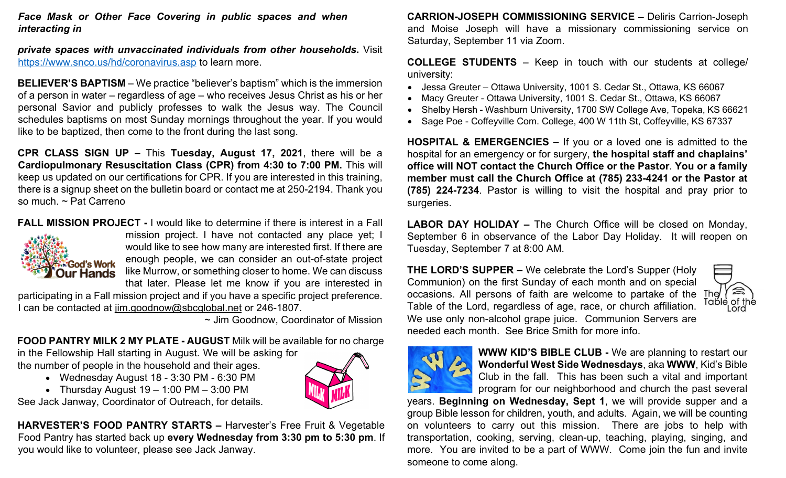*Face Mask or Other Face Covering in public spaces and when interacting in* 

*private spaces with unvaccinated individuals from other households***.** Visit <https://www.snco.us/hd/coronavirus.asp> to learn more.

**BELIEVER'S BAPTISM** – We practice "believer's baptism" which is the immersion of a person in water – regardless of age – who receives Jesus Christ as his or her personal Savior and publicly professes to walk the Jesus way. The Council schedules baptisms on most Sunday mornings throughout the year. If you would like to be baptized, then come to the front during the last song.

**CPR CLASS SIGN UP –** This **Tuesday, August 17, 2021**, there will be a **Cardiopulmonary Resuscitation Class (CPR) from 4:30 to 7:00 PM.** This will keep us updated on our certifications for CPR. If you are interested in this training, there is a signup sheet on the bulletin board or contact me at 250-2194. Thank you so much. ~ Pat Carreno

**FALL MISSION PROJECT -** I would like to determine if there is interest in a Fall



mission project. I have not contacted any place yet; I would like to see how many are interested first. If there are enough people, we can consider an out-of-state project like Murrow, or something closer to home. We can discuss that later. Please let me know if you are interested in

participating in a Fall mission project and if you have a specific project preference. I can be contacted at [jim.goodnow@sbcglobal.net](mailto:jim.goodnow@sbcglobal.net) or 246-1807.

~ Jim Goodnow, Coordinator of Mission

**FOOD PANTRY MILK 2 MY PLATE - AUGUST** Milk will be available for no charge

in the Fellowship Hall starting in August. We will be asking for the number of people in the household and their ages.

- Wednesday August 18 3:30 PM 6:30 PM
- Thursday August  $19 1:00 \text{ PM} 3:00 \text{ PM}$

See Jack Janway, Coordinator of Outreach, for details.

**HARVESTER'S FOOD PANTRY STARTS –** Harvester's Free Fruit & Vegetable Food Pantry has started back up **every Wednesday from 3:30 pm to 5:30 pm**. If you would like to volunteer, please see Jack Janway.



**CARRION-JOSEPH COMMISSIONING SERVICE –** Deliris Carrion-Joseph and Moise Joseph will have a missionary commissioning service on Saturday, September 11 via Zoom.

**COLLEGE STUDENTS** – Keep in touch with our students at college/ university:

- Jessa Greuter Ottawa University, 1001 S. Cedar St., Ottawa, KS 66067
- Macy Greuter Ottawa University, 1001 S. Cedar St., Ottawa, KS 66067
- Shelby Hersh Washburn University, 1700 SW College Ave, Topeka, KS 66621
- Sage Poe Coffeyville Com. College, 400 W 11th St, Coffeyville, KS 67337

**HOSPITAL & EMERGENCIES –** If you or a loved one is admitted to the hospital for an emergency or for surgery, **the hospital staff and chaplains' office will NOT contact the Church Office or the Pastor**. **You or a family member must call the Church Office at (785) 233-4241 or the Pastor at (785) 224-7234**. Pastor is willing to visit the hospital and pray prior to surgeries.

**LABOR DAY HOLIDAY –** The Church Office will be closed on Monday, September 6 in observance of the Labor Day Holiday. It will reopen on Tuesday, September 7 at 8:00 AM.

**THE LORD'S SUPPER –** We celebrate the Lord's Supper (Holy Communion) on the first Sunday of each month and on special occasions. All persons of faith are welcome to partake of the The The Tomble of the Table of the Lord, regardless of age, race, or church affiliation. We use only non-alcohol grape juice.Communion Servers are needed each month. See Brice Smith for more info.





**WWW KID'S BIBLE CLUB -** We are planning to restart our **Wonderful West Side Wednesdays**, aka **WWW**, Kid's Bible Club in the fall. This has been such a vital and important program for our neighborhood and church the past several

years. **Beginning on Wednesday, Sept 1**, we will provide supper and a group Bible lesson for children, youth, and adults. Again, we will be counting on volunteers to carry out this mission. There are jobs to help with transportation, cooking, serving, clean-up, teaching, playing, singing, and more. You are invited to be a part of WWW. Come join the fun and invite someone to come along.